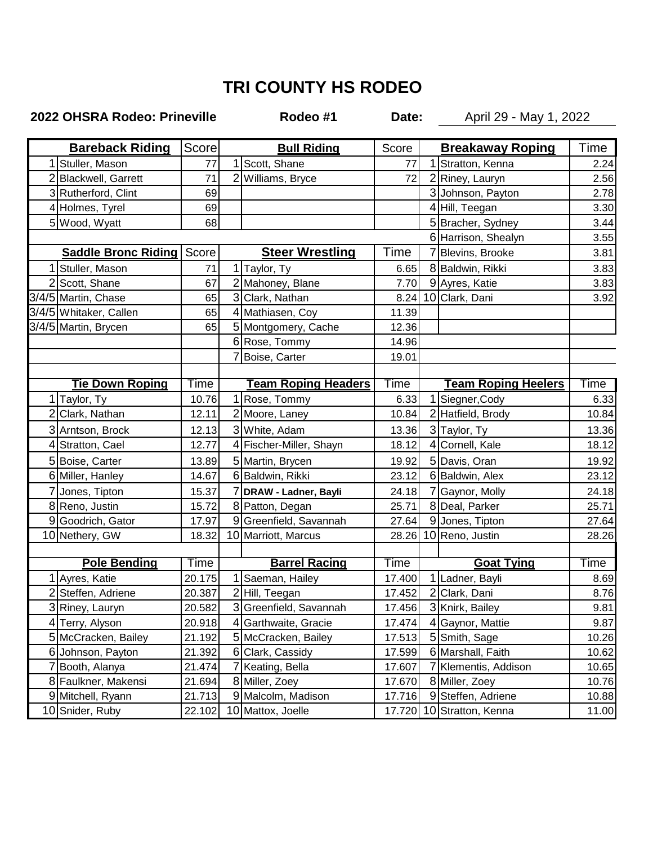## **TRI COUNTY HS RODEO**

## **2022 OHSRA Rodeo: Prineville Rodeo #1**

**Date:** April 29 - May 1, 2022

| <b>Bareback Riding</b> |                                    | Score  | <b>Bull Riding</b> |                            | Score  | <b>Breakaway Roping</b> |                            | Time            |
|------------------------|------------------------------------|--------|--------------------|----------------------------|--------|-------------------------|----------------------------|-----------------|
|                        | Stuller, Mason                     | 77     |                    | Scott, Shane               | 77     |                         | Stratton, Kenna            | 2.24            |
|                        | 2 Blackwell, Garrett               | 71     | $\overline{2}$     | Williams, Bryce            | 72     |                         | 2 Riney, Lauryn            | 2.56            |
|                        | 3 Rutherford, Clint                | 69     |                    |                            |        |                         | 3 Johnson, Payton          | 2.78            |
|                        | 4 Holmes, Tyrel                    | 69     |                    |                            |        |                         | 4 Hill, Teegan             | 3.30            |
|                        | 5 Wood, Wyatt                      | 68     |                    |                            |        |                         | 5 Bracher, Sydney          | 3.44            |
|                        |                                    |        |                    |                            |        | 6 Harrison, Shealyn     | 3.55                       |                 |
|                        | <b>Saddle Bronc Riding   Score</b> |        |                    | <b>Steer Wrestling</b>     | Time   |                         | Blevins, Brooke            | 3.81            |
|                        | 1 Stuller, Mason                   | 71     |                    | 1 Taylor, Ty               | 6.65   |                         | 8 Baldwin, Rikki           | 3.83            |
|                        | 2 Scott, Shane                     | 67     |                    | 2 Mahoney, Blane           | 7.70   |                         | 9 Ayres, Katie             | 3.83            |
|                        | 3/4/5 Martin, Chase                | 65     |                    | 3 Clark, Nathan            | 8.24   |                         | 10 Clark, Dani             | 3.92            |
|                        | 3/4/5 Whitaker, Callen             | 65     |                    | 4 Mathiasen, Coy           | 11.39  |                         |                            |                 |
|                        | 3/4/5 Martin, Brycen               | 65     |                    | 5 Montgomery, Cache        | 12.36  |                         |                            |                 |
|                        |                                    |        |                    | 6 Rose, Tommy              | 14.96  |                         |                            |                 |
|                        |                                    |        | 7                  | Boise, Carter              | 19.01  |                         |                            |                 |
|                        |                                    |        |                    |                            |        |                         |                            |                 |
|                        | <b>Tie Down Roping</b>             | Time   |                    | <b>Team Roping Headers</b> | Time   |                         | <b>Team Roping Heelers</b> | Time            |
|                        | 1 Taylor, Ty                       | 10.76  | 1                  | Rose, Tommy                | 6.33   |                         | Siegner, Cody              | 6.33            |
|                        | 2 Clark, Nathan                    | 12.11  |                    | 2 Moore, Laney             | 10.84  |                         | 2 Hatfield, Brody          | 10.84           |
|                        | 3 Arntson, Brock                   | 12.13  |                    | 3 White, Adam              | 13.36  |                         | 3 Taylor, Ty               | 13.36           |
|                        | 4 Stratton, Cael                   | 12.77  |                    | 4 Fischer-Miller, Shayn    | 18.12  | 4                       | Cornell, Kale              | 18.12           |
|                        | 5 Boise, Carter                    | 13.89  |                    | 5 Martin, Brycen           | 19.92  |                         | 5 Davis, Oran              | 19.92           |
|                        | 6 Miller, Hanley                   | 14.67  |                    | 6 Baldwin, Rikki           | 23.12  |                         | 6 Baldwin, Alex            | 23.12           |
|                        | 7 Jones, Tipton                    | 15.37  | 7                  | DRAW - Ladner, Bayli       | 24.18  |                         | Gaynor, Molly              | 24.18           |
|                        | 8 Reno, Justin                     | 15.72  |                    | 8 Patton, Degan            | 25.71  |                         | 8 Deal, Parker             | 25.71           |
|                        | 9 Goodrich, Gator                  | 17.97  | 9                  | Greenfield, Savannah       | 27.64  |                         | 9 Jones, Tipton            | 27.64           |
|                        | 10 Nethery, GW                     | 18.32  |                    | 10 Marriott, Marcus        | 28.26  |                         | 10 Reno, Justin            | 28.26           |
|                        |                                    |        |                    |                            |        |                         |                            |                 |
|                        | <b>Pole Bending</b>                | Time   |                    | <b>Barrel Racing</b>       | Time   |                         | <b>Goat Tying</b>          | $\mathsf{Time}$ |
|                        | Ayres, Katie                       | 20.175 | 1                  | Saeman, Hailey             | 17.400 |                         | 1 Ladner, Bayli            | 8.69            |
|                        | 2 Steffen, Adriene                 | 20.387 |                    | 2 Hill, Teegan             | 17.452 |                         | 2 Clark, Dani              | 8.76            |
|                        | 3 Riney, Lauryn                    | 20.582 |                    | 3 Greenfield, Savannah     | 17.456 |                         | 3 Knirk, Bailey            | 9.81            |
|                        | 4 Terry, Alyson                    | 20.918 |                    | 4 Garthwaite, Gracie       | 17.474 |                         | 4 Gaynor, Mattie           | 9.87            |
|                        | 5 McCracken, Bailey                | 21.192 |                    | 5 McCracken, Bailey        | 17.513 |                         | 5 Smith, Sage              | 10.26           |
|                        | 6 Johnson, Payton                  | 21.392 |                    | 6 Clark, Cassidy           | 17.599 |                         | 6 Marshall, Faith          | 10.62           |
|                        | 7 Booth, Alanya                    | 21.474 |                    | 7 Keating, Bella           | 17.607 |                         | 7 Klementis, Addison       | 10.65           |
|                        | 8 Faulkner, Makensi                | 21.694 |                    | 8 Miller, Zoey             | 17.670 |                         | 8 Miller, Zoey             | 10.76           |
|                        | 9 Mitchell, Ryann                  | 21.713 | 9                  | Malcolm, Madison           | 17.716 |                         | 9 Steffen, Adriene         | 10.88           |
|                        | 10 Snider, Ruby                    | 22.102 |                    | 10 Mattox, Joelle          |        |                         | 17.720 10 Stratton, Kenna  | 11.00           |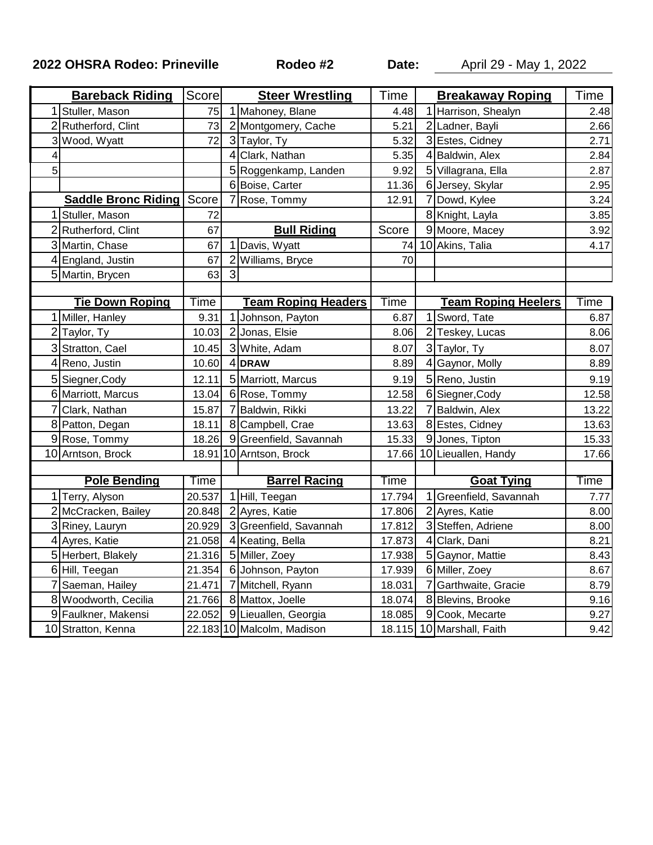**2022 OHSRA Rodeo: Prineville Rodeo #2**

**Date:** April 29 - May 1, 2022

| <b>Bareback Riding</b> |                                    | Score  | <b>Steer Wrestling</b> |                            | Time        | <b>Breakaway Roping</b> |                            | Time  |
|------------------------|------------------------------------|--------|------------------------|----------------------------|-------------|-------------------------|----------------------------|-------|
|                        | Stuller, Mason                     | 75     | 1                      | Mahoney, Blane             | 4.48        |                         | 1 Harrison, Shealyn        | 2.48  |
|                        | Rutherford, Clint                  | 73     | $\overline{2}$         | Montgomery, Cache          | 5.21        |                         | 2 Ladner, Bayli            | 2.66  |
|                        | Wood, Wyatt                        | 72     |                        | 3 Taylor, Ty               | 5.32        |                         | 3 Estes, Cidney            | 2.71  |
| 4                      |                                    |        | 4                      | Clark, Nathan              | 5.35        |                         | 4 Baldwin, Alex            | 2.84  |
| 5                      |                                    |        |                        | 5 Roggenkamp, Landen       | 9.92        |                         | 5 Villagrana, Ella         | 2.87  |
|                        |                                    |        |                        | 6 Boise, Carter            | 11.36       |                         | 6 Jersey, Skylar           | 2.95  |
|                        | <b>Saddle Bronc Riding   Score</b> |        | 7                      | Rose, Tommy                | 12.91       |                         | 7 Dowd, Kylee              | 3.24  |
|                        | Stuller, Mason                     | 72     |                        |                            |             |                         | 8 Knight, Layla            | 3.85  |
|                        | 2 Rutherford, Clint                | 67     |                        | <b>Bull Riding</b>         | Score       |                         | 9 Moore, Macey             | 3.92  |
|                        | 3 Martin, Chase                    | 67     | 1                      | Davis, Wyatt               | 74          |                         | 10 Akins, Talia            | 4.17  |
|                        | 4 England, Justin                  | 67     | $\overline{2}$         | Williams, Bryce            | 70          |                         |                            |       |
|                        | 5 Martin, Brycen                   | 63     | 3                      |                            |             |                         |                            |       |
|                        |                                    |        |                        |                            |             |                         |                            |       |
|                        | <b>Tie Down Roping</b>             | Time   |                        | <u>Team Roping Headers</u> | <b>Time</b> |                         | <b>Team Roping Heelers</b> | Time  |
|                        | Miller, Hanley                     | 9.31   | $\mathbf{1}$           | Johnson, Payton            | 6.87        |                         | 1 Sword, Tate              | 6.87  |
|                        | 2 Taylor, Ty                       | 10.03  |                        | 2 Jonas, Elsie             | 8.06        |                         | 2 Teskey, Lucas            | 8.06  |
|                        | 3 Stratton, Cael                   | 10.45  |                        | 3 White, Adam              | 8.07        |                         | 3 Taylor, Ty               | 8.07  |
|                        | 4 Reno, Justin                     | 10.60  |                        | 4 DRAW                     | 8.89        |                         | 4 Gaynor, Molly            | 8.89  |
|                        | 5 Siegner, Cody                    | 12.11  |                        | 5 Marriott, Marcus         | 9.19        |                         | 5 Reno, Justin             | 9.19  |
|                        | 6 Marriott, Marcus                 | 13.04  |                        | 6 Rose, Tommy              | 12.58       |                         | 6 Siegner, Cody            | 12.58 |
|                        | Clark, Nathan                      | 15.87  |                        | Baldwin, Rikki             | 13.22       |                         | Baldwin, Alex              | 13.22 |
| 8                      | Patton, Degan                      | 18.11  |                        | 8 Campbell, Crae           | 13.63       |                         | 8 Estes, Cidney            | 13.63 |
| 9                      | Rose, Tommy                        | 18.26  |                        | 9 Greenfield, Savannah     | 15.33       |                         | 9 Jones, Tipton            | 15.33 |
|                        | 10 Arntson, Brock                  |        |                        | 18.91 10 Arntson, Brock    | 17.66       |                         | 10 Lieuallen, Handy        | 17.66 |
|                        |                                    |        |                        |                            |             |                         |                            |       |
| <b>Pole Bending</b>    |                                    | Time   |                        | <b>Barrel Racing</b>       | Time        |                         | <b>Goat Tying</b>          | Time  |
|                        | 1 Terry, Alyson                    | 20.537 |                        | 1 Hill, Teegan             | 17.794      |                         | 1 Greenfield, Savannah     | 7.77  |
| 2                      | McCracken, Bailey                  | 20.848 |                        | 2 Ayres, Katie             | 17.806      |                         | 2 Ayres, Katie             | 8.00  |
|                        | 3 Riney, Lauryn                    | 20.929 |                        | 3 Greenfield, Savannah     | 17.812      |                         | 3 Steffen, Adriene         | 8.00  |
|                        | 4 Ayres, Katie                     | 21.058 |                        | 4 Keating, Bella           | 17.873      |                         | 4 Clark, Dani              | 8.21  |
|                        | 5 Herbert, Blakely                 | 21.316 |                        | 5 Miller, Zoey             | 17.938      |                         | 5 Gaynor, Mattie           | 8.43  |
|                        | 6 Hill, Teegan                     | 21.354 |                        | 6 Johnson, Payton          | 17.939      |                         | 6 Miller, Zoey             | 8.67  |
|                        | Saeman, Hailey                     | 21.471 |                        | 7 Mitchell, Ryann          | 18.031      |                         | Garthwaite, Gracie         | 8.79  |
|                        | 8 Woodworth, Cecilia               |        |                        | 21.766 8 Mattox, Joelle    | 18.074      |                         | 8 Blevins, Brooke          | 9.16  |
|                        | 9 Faulkner, Makensi                | 22.052 |                        | 9 Lieuallen, Georgia       | 18.085      |                         | 9 Cook, Mecarte            | 9.27  |
|                        | 10 Stratton, Kenna                 |        |                        | 22.183 10 Malcolm, Madison |             |                         | 18.115 10 Marshall, Faith  | 9.42  |